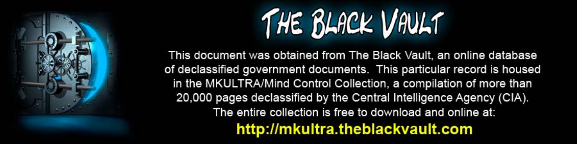

This document was obtained from The Black Vault, an online database of declassified government documents. This particular record is housed in the MKULTRA/Mind Control Collection, a compilation of more than 20,000 pages declassified by the Central Intelligence Agency (CIA). The entire collection is free to download and online at: http://mkultra.theblackvault.com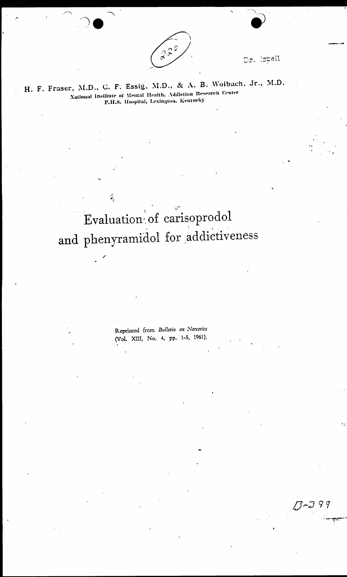

Dr. ispell

 $13 - 399$ 

H. F. Fraser, M.D., C. F. Essig, M.D., & A. B. Wolbach, Jr., M.D. National Institute of Mental Health, Addiction Research Center P.H.S. Hospital, Lexington, Kentucky

> Evaluation of carisoprodol and phenyramidol for addictiveness

 $\tilde{\mathbf{z}}$ 

Reprinted from Bulletin on Narcotics (Vol. XIII, No. 4, pp. 1-5, 1961).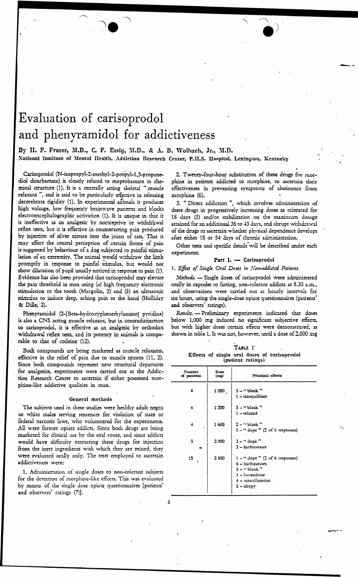# Evaluation of carisoprodol and phenyramidol for addictiveness

## By H. F. Fraser, M.D., C. F. Essig, M.D., & A. B. Wolhach, Jr., M.D. National Institute of Mental Health, Addiction Research Center, P.H.S. Hospital, Lexingtou, Kentucky

Carisoprodol (N-isopropyl-2-methyl-2-propyl-1,3-propanediol dicarbamate) is closely related to meprobamate in chemical structure (1). It is a centrally acting skeletal "muscle relaxant", and is said to be particularly effective in releasing decerebrate rigidity (1). In experimental animals it produces high voltage, low frequency brainwave patterns and blocks electroencephalographic activation (1). It is unique in that it is ineffective as an analgesic by nociceptive or withdrawal reflex tests, but it is effective in counteracting pain produced by injection of silver nitrate into the joints of rats. That it may affect the central perception of certain forms of pain is suggested by behaviour of a dog subjected to painful stimulation of an extremity. The animal would withdraw the limb promptly in response to painful stimulus, but would not show dilatation of pupil usually noticed in response to pain (1). Evidence has also been provided that carisoprodol may elevate the pain threshold in man using  $(a)$  high frequency electronic stimulation to the tooth (Margolin, 2) and (b) an ultrasonic stimulus to induce deep, aching pain to the hand (Holliday & Dille, 2).

Phenyramidol (2-[Beta-hydroxyphenethylamino] pyridine) is also a CNS acting muscle relaxant, but in contradistinction to carisoprodol, it is effective as an analgesic by orthodox withdrawal reflex tests, and its potency in animals is comparable to that of codeine (12).

Both compounds are being marketed as muscle relaxants, effective in the relief of pain due to muscle spasms (11, 2). Since both compounds represent new structural departures for analgesies, experiments were carried out at the Addiction Research Center to ascertain if either possessed morphine-like addictive qualities in man.

#### General methods

The subjects used in these studies were healthy adult negro or white males serving sentences for violation of state or federal narcotic laws, who volunteered for the experiments. All were former opiate addicts. Since both drugs are being marketed for clinical use by the oral route, and since addicts would have difficulty extracting these drugs for injection from the inert ingredients with which they are mixed, they were evaluated orally only. The tests employed to ascertain addictiveness were:

1. Administration of single doses to non-tolerant subjects for the detection of morphine-like effects. This was evaluated by means of the single dose opiate questionnaires [patients' and observers' ratings (7)].

2. Twenty-four-hour substitution of these drugs for morphine in patients addicted to morphine, to ascertain their effectiveness in preventing symptoms of abstinence from morphine (6).

3. " Direct addiction ", which involves administration of these drugs in progressively increasing doses as tolerated for 18 days (5) and/or stabilization on the maximum dosage attained for an additional 36 to 43 days, and abrupt withdrawal of the drugs to ascertain whether physical dependence develops after either 18 or 54 days of chronic administration.

Other tests and specific details will be described under each experiment.

### Part I. - Carisoprodol

#### 1. Effect of Single Oral Doses in Non-addicted Patients

Methods. - Single doses of carisoprodol were administered orally in capsules to fasting, non-tolerant addicts at 8.30 a.m., and observations were carried out at hourly intervals for six hours, using the single-dose opiate questionnaires (patients' and observers' ratings).

Results. - Preliminary experiments indicated that doses below 1,000 mg induced no significant subjective effects, but with higher doses certain effects were demonstrated, as shown in table 1. It was not, however, until a dose of 2,000 mg

| TABLE 1 |  |  |                   |  |                                              |
|---------|--|--|-------------------|--|----------------------------------------------|
|         |  |  | (patient ratings) |  | Effects of single oral doses of carisoprodol |

| <b>Number</b><br>of patients | Dose<br>(mg) | Principal effects                                                                                                                                    |
|------------------------------|--------------|------------------------------------------------------------------------------------------------------------------------------------------------------|
| 4                            | 1050.        | $3 -$ " blank "<br>1-tranquillizer                                                                                                                   |
| 4                            | 1 200        | $3 -$ " blank "<br>1 – relaxed                                                                                                                       |
| 4                            | 1600         | $2 -$ " blank ".<br>$1 -$ " dope " (2 of 6 responses)                                                                                                |
| 5                            | 2000         | $2 -$ " dope"<br>3 - barbiturates                                                                                                                    |
| 15                           | 2500         | $1 -$ " dope " $(2 \text{ of } 6 \text{ responses})$<br>6 - barbiturates<br>$3 -$ " blank "<br>1 - benzedrine<br>$4 -$ miscellaneous<br>$5 -$ sleepy |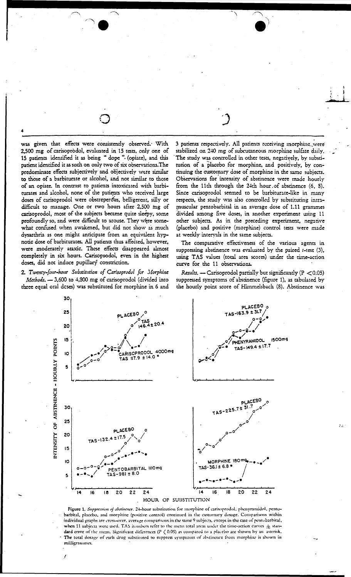was given that effects were consistently observed. With 2,500 mg of carisoprodol, evaluated in 15 tests, only one of 15 patients identified it as being " dope " (opiate), and this patient identified it as such on only two of six observations. The predominate effects subjectively and objectively were similar to those of a barbiturate or alcohol, and not similar to those of an opiate. In contrast to patients intoxicated with barbiturates and alcohol, none of the patients who received large doses of carisoprodol were obstreperous, belligerent, silly or difficult to manage. One or two hours after 2,500 mg of carisoprodol, most of the subjects became quite sleepy, some profoundly so, and were difficult to arouse. They were somewhat confused when awakened, but did not show as much dysarthria as one might anticipate from an equivalent hypnotic dose of barbiturates. All patients thus affected, however, were moderately ataxic. These effects disappeared almost completely in six hours. Carisoprodol, even in the highest doses, did not induce pupillary constriction.

2. Twenty-four-hour Substitution of Carisoprodol for Morphine Methods. - 3,600 to 4,800 mg of carisoprodol (divided into three equal oral deses) was substituted for morphine in 6 and 3 patients respectively. All patients receiving morphine were stabilized on 240 mg of subcutaneous morphine sulfate daily. The study was controlled in other tests, negatively, by substitution of a placebo for morphine, and positively, by continuing the customary dose of morphine in the same subjects. Observations for intensity of abstinence were made hourly from the 11th through the 24th hour of abstinence (6, 8). Since carisoprodol seemed to be barbiturate-like in many respects, the study was also controlled by substituting intramuscular pentobarbital in an average dose of 1.11 grammes divided among five doses, in another experiment using 11 other subjects. As in the preceding experiment, negative (placebo) and positive (morphine) control tests were made at weekly intervals in the same subjects.

The comparative effectiveness of the various agents in suppressing abstinence was evaluated by the paired  $t$ -test  $(3)$ , using TAS values (total area scores) under the time-action curve for the 11 observations.

Results. - Carisoprodol partially but significantly ( $P < 0.05$ ) suppressed symptoms of abstinence (figure 1), as tabulated by the hourly point score of Himmelsbach (8). Abstinence was



Figure 1. Suppression of abstinence. 24-hour substitution for morphine of carisoprodol, phenyramidol, pentobarbital, placebo, and morphine (positive control) continued in the customary dosage. Comparisons within individual graphs are cross-over, average comparisons in the same 9 subjects, except in the case of pentobarbital, when 11 subjects were used. TAS in unbers refer to the mean total areas under the time-action curves  $\pm$  standard error of the mean. Significant differences ( $P < 0.05$ ) as compared to a placebo are shown by an asterisk. The total dosage of each drug substituted to suppress symptoms of abstinence from morphine is shown in milligrammes.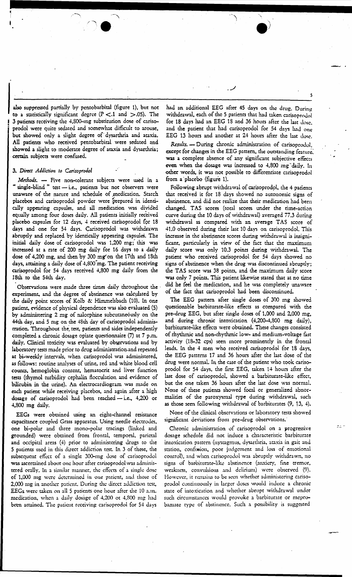also suppressed partially by pentobarbital (figure 1), but not to a statistically significant degree ( $P < 1$  and  $> .05$ ). The 3 patients receiving the 4,800-mg substitution dose of carisoprodol were quite sedated and somewhat difficult to arouse, but showed only a slight degree of dysarthria and ataxia. All patients who received pentobarbital were sedated and showed a slight to moderate degree of ataxia and dysarthria; . certain subjects were confused.

## 3. Direct *Addiction* to Carisoprodol

Methods. - Five non-tolerant subjects were used in a " single-blind " test -i.e., patients but not observers were unaware of the narure and schedule of medication. Starch placebos and carisoprodol powder were prepared in identically appearing capsules, and all medication was divided equally among four doses daily. All patients initially received placebo capsules for 12 days, 4 received carisoprodol for 18 days and one for 54 days. Carisoprodol was withdrawn abruptly and replaced by identically appearing capsules. The initial daily dose of carisoprodol was 1,200 mg;' this was increased at a rate of 200 mg daily for 16 days to a daily dose of 4,200 mg, and then by 300 mg" on the 1 *ith* and 18th days, attaining a daily dose of 4,800 mg. The patient receiving arisoprodol foe 54 days received 4,800 mg daily from the 18th to the 54th day.

Observations were made three times daily throughout the experiment, and the degree of abstinence was calculated by the daily point scores of Kolb & Himmelsbach (10). In one patient, evidence of physical dependence was also evaluated (5) by administering 2 mg of nalorphine subcutaneously on the 44th day, and 5 mg on the 48th day of carisoprodol adminisrration. Throughout the, test, patients and aides independently completed a chronic dosage opiate questionnaire (7) at 7 p.m. daily. Clinical toxicity was evaluated by observations and by laboratory tests made prior to drug administration.and repeated at bi-weekly intervals, when carisoprodol was administered, *:s* follows: routine analyses of urine, red and white blood cell counts, hemoglobin content, hematocrit and liver function tests (thymol turbidity cephalin flocculation and evidence of bilirubin in the urine). An electrocardiogram was made on each patient while receiving placebos, and again after a high dosage of carisoprodol had been reached - i.e., 4,200 or 4,800 mg daily.

EEGs were obtained using an eight-channel resistance capacitance coupled Grass apparatus. Using needle electrodes, one bi-polar and three mono-polar tracings (linked and grounded) were obtained from frontal, temporal, parietal and occipital areas (4) prior to administering drugs to the 5 patients used in this direct addicdon test. In 3 of these. the subsequent effect of a single 300-mg dose of carisoprodol was ascertained about one hour after carisoprodol was administered orally. In a similar manner, the effects of a single dose of 1,000 mg were determined in one patient, and those of 2,000 mg in another patient. During the direct addiction test, EEGs were taken on all 5 patients one hour after the 10 a.m. medication, when a daily dosage of 4,200 ot 4,800 mg had been attained. The patient receiving carisoprodol for 54 days

had an additional EEG after 45 days on the drug. During withdrawal, each of the 5 patients that had taken carisoprodol for 18 days had an EEG 18 and 36 hours after the last dose. and the patient that had carisoprodol for 54 days had one EEG 13 hours and another at 24 hours after the last dose.

. ../

*Results.-* During chronic administration of carisoprodol, except for changes in the EEG pattern, the outstanding feature. was a complete absence of any significant subjective effects even when the dosage was increased to 4,800 mg<sup>-</sup>daily. In other words, it was not possible co differentiate carisoprodol from a placebo (figure 1).

Following abrupt withdrawal of carisoprodol, the 4 patients that received it for 18 days showed no autonomic signs of abstinence, and did not realize that their medication had been changed. TAS scores (total scores under the time-action curve during the 10 days of withdrawal) averaged *7i.3* during withdrawal as compared with an average TAS score of 41.0 observed during their last 10 days on carisoprodol. This increase in the abstinence scores during withdrawal is insignificant, particularly in view of the fact that the maximum daily score was only 10.3 points during withdrawal. The patient who received carisoprodol for 54 days showed no signs of abstinence when the drug was discontinued abrupdy; the TAS score was 38 points, and the maximum daily score was only 7 points. This patient likewise stated that at no time did he feel the medication, and he was completely unaware of the fact that carisoprodol had been discontinued.

The EEG pattern after single doses of 300 mg showed questionable barbiturate-like effects as compared with the pre-drug EEG, but after single doses of 1.000 and 2,000 mg, and during chronic intoxication (4,200-4,800 mg daily), barbiturate-like effects were obtained. These changes consisted of rhythmic and non-rhydunic low- and mediwn-voltage fast activity (18-32 cps) seen more prominently in the frontal leads. In the 4 men who received carisoprodol for 18 days, the EEG patterns 17 and 36 hours after the last dose of the drug were normal. In the case of the patient who took carisoprodol for 54 days, the first EEG, taken 14 hours after the last dose of carisoprodol, showed a barbiturate-like effecr, but the one taken 36 hours after the last dose was normal. None of these patients showed focal oc generalized abnormalities of the paroxysmal cype during withdrawal, such as those seen following withdrawal of barbiturates (9, 13, 4).

None of the clinical observations or laboratory tests showed significant deviations from pre-drug observations.

Chronic administration of carisoprodol on a progressive dosage schedule did not induce a characteristic barbiturate intoxication pattern (nystagmus. dysarthria. ataxia in gait and station, confusion, poor judgement and loss of emotional control), and when carisoprodol was abruptly withdrawn, no signs of barbiturate-like abstinence (anxicry. fine tremor, weakness, convulsions and delirium) were observed (9). However, it remains to be seen whether administering carisoprodol continuously in larger doses woukl induce a chronic state of intoxication and whether abrupt withdrawal under such circumstances would provoke a barbiturate or meprobamate type of abstinence. Such a possibility is suggested

5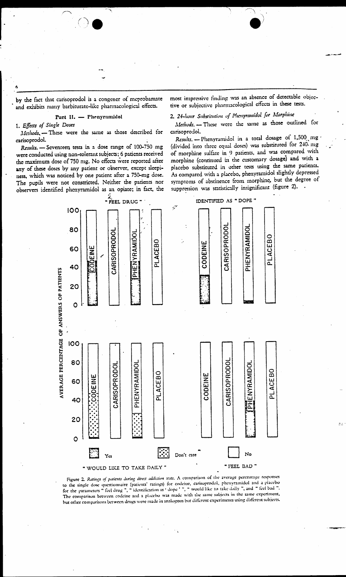by the fact that carisoprodol is a congener of meprobamate and exhibits many barbiturate-like pharmacological effects.

## Part II. - Phenyramidol

## 1. Effects of Single Doses

Methods, - These were the same as those described for carisoprodol.

Results. - Seventeen tests in a dose range of 100-750 mg were conducted using non-tolerant subjects; 6 patients received the maximum dose of 750 mg. No effects were reported after any of these doses by any patient or observer, except sleepiness, which was noticed by one patient after a 750-mg dose. The pupils were not constricted. Neither the patients nor observers identified phenyramidol as an opiate; in fact, the most impressive finding was an absence of detectable objective or subjective pharmacological effects in these tests.

# 2. 24-hour Substitution of Phenyramidol for Morphine

Methods. - These were the same as those outlined for carisoprodol.

Results. - Phenyramidol in a total dosage of 1,500 mg (divided into three equal doses) was substituted for 240 mg of morphine sulfate in 9 patients, and was compared with morphine (continued in the customary dosage) and with a placebo substituted in other tests using the same patients. As compared with a placebo, phenyramidol slightly depressed symptoms of abstinence from morphine, but the degree of suppression was statistically insignificant (figure 2). .



Figure 2. Ratings of patients during direct addiction tests. A comparison of the average percentage responses to the single dose questionnaire (patients' ratings) for codeine, carisoprodol, phenyramidol and a placebo for the parameters " feel drug ", " identification as ' dope ' ", " would like to take daily ", and " feel bad ". The comparison between codeine and a placeho was made with the same subjects in the same experiment, but other comparisons between drugs were made in analogous but different experiments using different subjects.